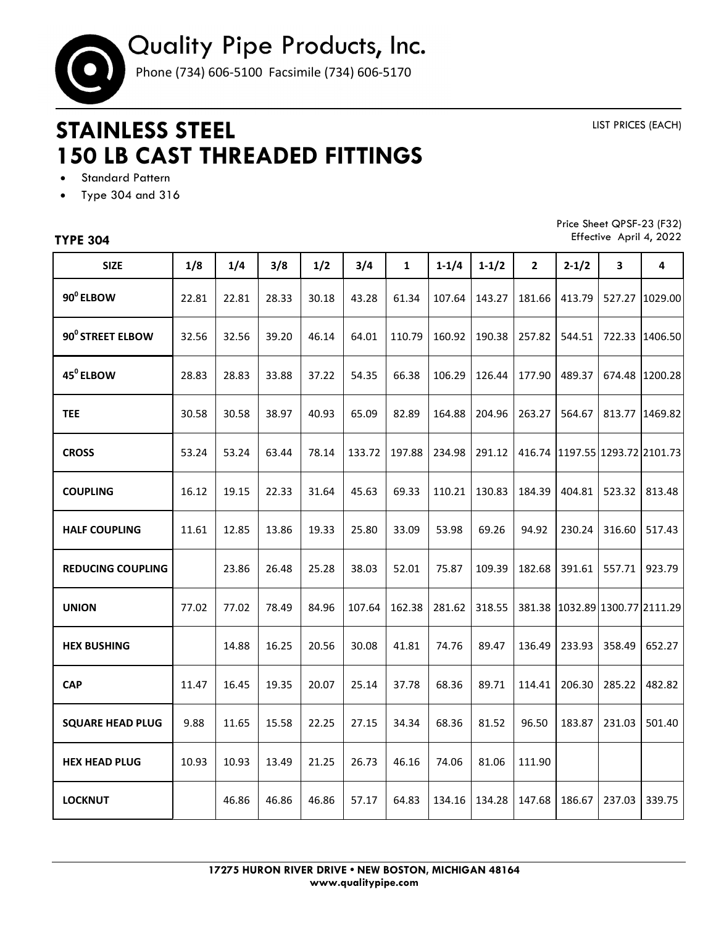

## **STAINLESS STEEL 150 LB CAST THREADED FITTINGS**

LIST PRICES (EACH)

- **•** Standard Pattern
- Type 304 and 316

## **TYPE 304**

Price Sheet QPSF-23 (F32) Effective April 4, 2022

| <b>SIZE</b>              | 1/8   | 1/4   | 3/8   | 1/2   | 3/4    | $\mathbf{1}$ | $1 - 1/4$ | $1 - 1/2$ | $\overline{2}$ | $2 - 1/2$               | 3      | 4       |
|--------------------------|-------|-------|-------|-------|--------|--------------|-----------|-----------|----------------|-------------------------|--------|---------|
| 90 <sup>0</sup> ELBOW    | 22.81 | 22.81 | 28.33 | 30.18 | 43.28  | 61.34        | 107.64    | 143.27    | 181.66         | 413.79                  | 527.27 | 1029.00 |
| 90° STREET ELBOW         | 32.56 | 32.56 | 39.20 | 46.14 | 64.01  | 110.79       | 160.92    | 190.38    | 257.82         | 544.51                  | 722.33 | 1406.50 |
| 45 <sup>0</sup> ELBOW    | 28.83 | 28.83 | 33.88 | 37.22 | 54.35  | 66.38        | 106.29    | 126.44    | 177.90         | 489.37                  | 674.48 | 1200.28 |
| <b>TEE</b>               | 30.58 | 30.58 | 38.97 | 40.93 | 65.09  | 82.89        | 164.88    | 204.96    | 263.27         | 564.67                  | 813.77 | 1469.82 |
| <b>CROSS</b>             | 53.24 | 53.24 | 63.44 | 78.14 | 133.72 | 197.88       | 234.98    | 291.12    | 416.74         | 1197.55 1293.72 2101.73 |        |         |
| <b>COUPLING</b>          | 16.12 | 19.15 | 22.33 | 31.64 | 45.63  | 69.33        | 110.21    | 130.83    | 184.39         | 404.81                  | 523.32 | 813.48  |
| <b>HALF COUPLING</b>     | 11.61 | 12.85 | 13.86 | 19.33 | 25.80  | 33.09        | 53.98     | 69.26     | 94.92          | 230.24                  | 316.60 | 517.43  |
| <b>REDUCING COUPLING</b> |       | 23.86 | 26.48 | 25.28 | 38.03  | 52.01        | 75.87     | 109.39    | 182.68         | 391.61                  | 557.71 | 923.79  |
| <b>UNION</b>             | 77.02 | 77.02 | 78.49 | 84.96 | 107.64 | 162.38       | 281.62    | 318.55    | 381.38         | 1032.89 1300.77 2111.29 |        |         |
| <b>HEX BUSHING</b>       |       | 14.88 | 16.25 | 20.56 | 30.08  | 41.81        | 74.76     | 89.47     | 136.49         | 233.93                  | 358.49 | 652.27  |
| <b>CAP</b>               | 11.47 | 16.45 | 19.35 | 20.07 | 25.14  | 37.78        | 68.36     | 89.71     | 114.41         | 206.30                  | 285.22 | 482.82  |
| <b>SQUARE HEAD PLUG</b>  | 9.88  | 11.65 | 15.58 | 22.25 | 27.15  | 34.34        | 68.36     | 81.52     | 96.50          | 183.87                  | 231.03 | 501.40  |
| <b>HEX HEAD PLUG</b>     | 10.93 | 10.93 | 13.49 | 21.25 | 26.73  | 46.16        | 74.06     | 81.06     | 111.90         |                         |        |         |
| <b>LOCKNUT</b>           |       | 46.86 | 46.86 | 46.86 | 57.17  | 64.83        | 134.16    | 134.28    | 147.68         | 186.67                  | 237.03 | 339.75  |